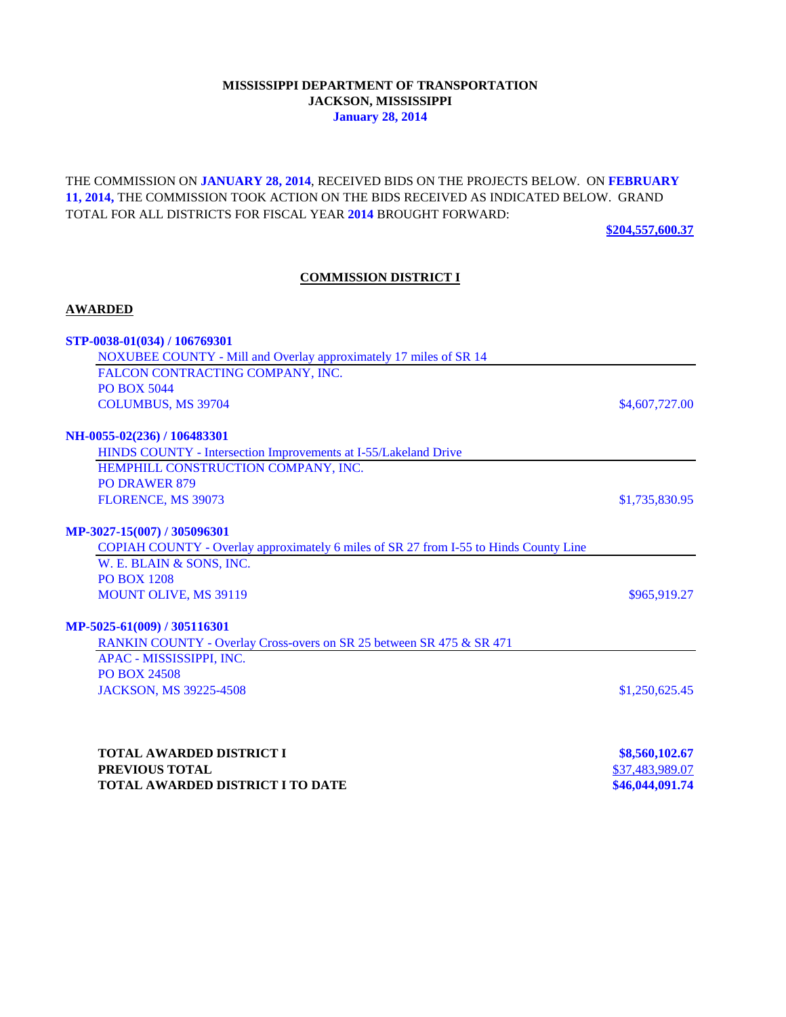### **MISSISSIPPI DEPARTMENT OF TRANSPORTATION JACKSON, MISSISSIPPI January 28, 2014**

THE COMMISSION ON **JANUARY 28, 2014**, RECEIVED BIDS ON THE PROJECTS BELOW. ON **FEBRUARY 11, 2014,** THE COMMISSION TOOK ACTION ON THE BIDS RECEIVED AS INDICATED BELOW. GRAND TOTAL FOR ALL DISTRICTS FOR FISCAL YEAR **2014** BROUGHT FORWARD:

**\$204,557,600.37**

### **COMMISSION DISTRICT I**

#### **AWARDED**

| STP-0038-01(034) / 106769301                                                          |                |
|---------------------------------------------------------------------------------------|----------------|
| NOXUBEE COUNTY - Mill and Overlay approximately 17 miles of SR 14                     |                |
| FALCON CONTRACTING COMPANY, INC.                                                      |                |
| <b>PO BOX 5044</b>                                                                    |                |
| <b>COLUMBUS, MS 39704</b>                                                             | \$4,607,727.00 |
| NH-0055-02(236) / 106483301                                                           |                |
| HINDS COUNTY - Intersection Improvements at I-55/Lakeland Drive                       |                |
| HEMPHILL CONSTRUCTION COMPANY, INC.                                                   |                |
| <b>PO DRAWER 879</b>                                                                  |                |
| FLORENCE, MS 39073                                                                    | \$1,735,830.95 |
| MP-3027-15(007) / 305096301                                                           |                |
| COPIAH COUNTY - Overlay approximately 6 miles of SR 27 from I-55 to Hinds County Line |                |
| W. E. BLAIN & SONS, INC.                                                              |                |
| <b>PO BOX 1208</b>                                                                    |                |
| <b>MOUNT OLIVE, MS 39119</b>                                                          | \$965,919.27   |
| MP-5025-61(009) / 305116301                                                           |                |
| RANKIN COUNTY - Overlay Cross-overs on SR 25 between SR 475 & SR 471                  |                |
| APAC - MISSISSIPPI, INC.                                                              |                |
| <b>PO BOX 24508</b>                                                                   |                |
| JACKSON, MS 39225-4508                                                                | \$1,250,625.45 |
|                                                                                       |                |
| <b>TODAL AWADDED DIGTDIOTLY</b>                                                       | 00.500102.07   |

| TOTAL AWARDED DISTRICT I         | \$8,560,102.67  |
|----------------------------------|-----------------|
| <b>PREVIOUS TOTAL</b>            | \$37,483,989.07 |
| TOTAL AWARDED DISTRICT I TO DATE | \$46,044,091.74 |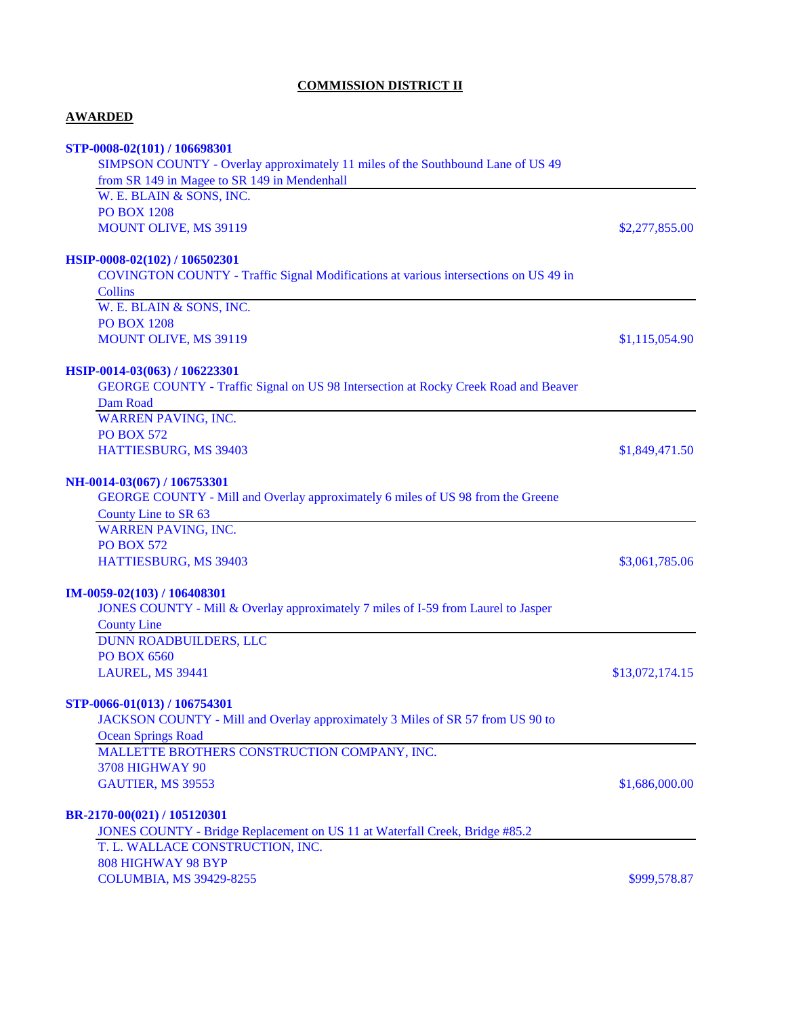# **COMMISSION DISTRICT II**

# **AWARDED**

| STP-0008-02(101) / 106698301                                                               |                 |
|--------------------------------------------------------------------------------------------|-----------------|
| SIMPSON COUNTY - Overlay approximately 11 miles of the Southbound Lane of US 49            |                 |
| from SR 149 in Magee to SR 149 in Mendenhall                                               |                 |
| W. E. BLAIN & SONS, INC.                                                                   |                 |
| <b>PO BOX 1208</b>                                                                         |                 |
| MOUNT OLIVE, MS 39119                                                                      | \$2,277,855.00  |
| HSIP-0008-02(102) / 106502301                                                              |                 |
| COVINGTON COUNTY - Traffic Signal Modifications at various intersections on US 49 in       |                 |
| <b>Collins</b>                                                                             |                 |
| W. E. BLAIN & SONS, INC.                                                                   |                 |
| <b>PO BOX 1208</b>                                                                         |                 |
| MOUNT OLIVE, MS 39119                                                                      | \$1,115,054.90  |
| HSIP-0014-03(063) / 106223301                                                              |                 |
| <b>GEORGE COUNTY - Traffic Signal on US 98 Intersection at Rocky Creek Road and Beaver</b> |                 |
| Dam Road                                                                                   |                 |
| <b>WARREN PAVING, INC.</b>                                                                 |                 |
| <b>PO BOX 572</b>                                                                          |                 |
| HATTIESBURG, MS 39403                                                                      | \$1,849,471.50  |
| NH-0014-03(067) / 106753301                                                                |                 |
| GEORGE COUNTY - Mill and Overlay approximately 6 miles of US 98 from the Greene            |                 |
| County Line to SR 63                                                                       |                 |
| <b>WARREN PAVING, INC.</b>                                                                 |                 |
| <b>PO BOX 572</b>                                                                          |                 |
| HATTIESBURG, MS 39403                                                                      | \$3,061,785.06  |
| IM-0059-02(103) / 106408301                                                                |                 |
| JONES COUNTY - Mill & Overlay approximately 7 miles of I-59 from Laurel to Jasper          |                 |
| <b>County Line</b>                                                                         |                 |
| DUNN ROADBUILDERS, LLC                                                                     |                 |
| <b>PO BOX 6560</b>                                                                         |                 |
| LAUREL, MS 39441                                                                           | \$13,072,174.15 |
| STP-0066-01(013) / 106754301                                                               |                 |
| JACKSON COUNTY - Mill and Overlay approximately 3 Miles of SR 57 from US 90 to             |                 |
| <b>Ocean Springs Road</b>                                                                  |                 |
| MALLETTE BROTHERS CONSTRUCTION COMPANY, INC.                                               |                 |
| <b>3708 HIGHWAY 90</b>                                                                     |                 |
| GAUTIER, MS 39553                                                                          | \$1,686,000.00  |
| BR-2170-00(021) / 105120301                                                                |                 |
| JONES COUNTY - Bridge Replacement on US 11 at Waterfall Creek, Bridge #85.2                |                 |
| T. L. WALLACE CONSTRUCTION, INC.                                                           |                 |
| 808 HIGHWAY 98 BYP                                                                         |                 |
| <b>COLUMBIA, MS 39429-8255</b>                                                             | \$999,578.87    |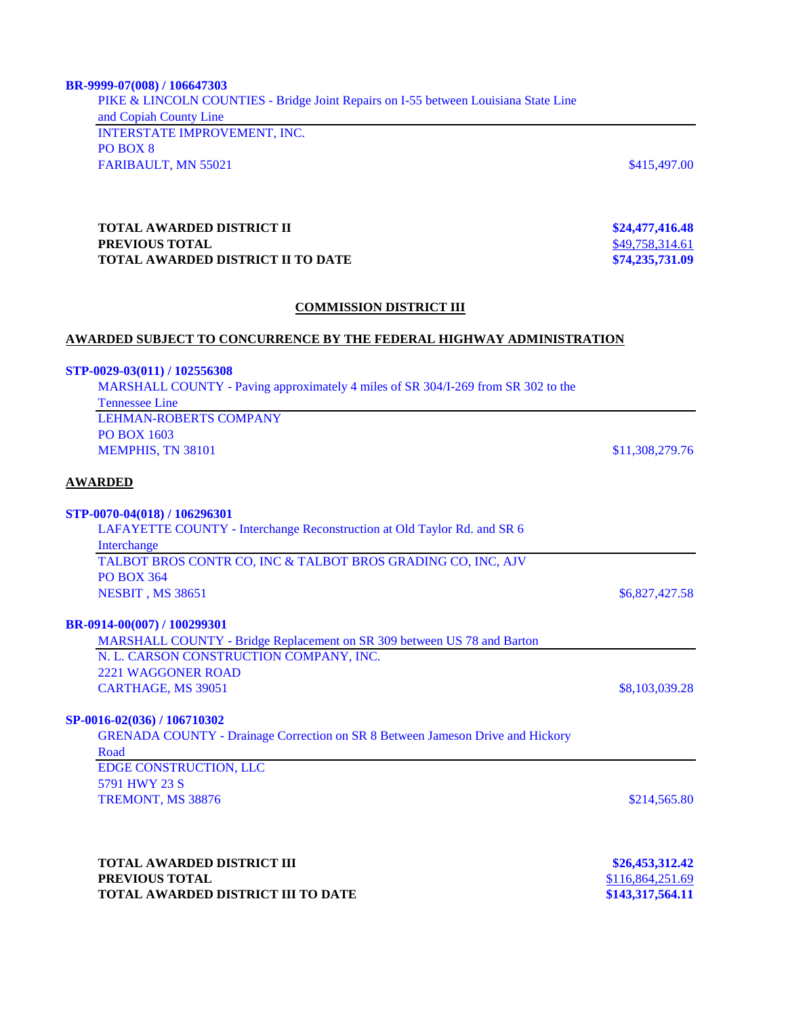# PIKE & LINCOLN COUNTIES - Bridge Joint Repairs on I-55 between Louisiana State Line and Copiah County Line INTERSTATE IMPROVEMENT, INC. PO BOX 8

FARIBAULT, MN 55021 \$415,497.00

### **TOTAL AWARDED DISTRICT II \$24,477,416.48**<br>**PREVIOUS TOTAL** \$49,758,314.61 **PREVIOUS TOTAL<br>
TOTAL AWARDED DISTRICT II TO DATE TOTAL AWARDED DISTRICT II TO DATE \$74,235,731.09**

### **COMMISSION DISTRICT III**

### **AWARDED SUBJECT TO CONCURRENCE BY THE FEDERAL HIGHWAY ADMINISTRATION**

| STP-0029-03(011) / 102556308                                                          |                 |
|---------------------------------------------------------------------------------------|-----------------|
| MARSHALL COUNTY - Paving approximately 4 miles of SR 304/I-269 from SR 302 to the     |                 |
| <b>Tennessee Line</b>                                                                 |                 |
| <b>LEHMAN-ROBERTS COMPANY</b>                                                         |                 |
| <b>PO BOX 1603</b>                                                                    |                 |
| MEMPHIS, TN 38101                                                                     | \$11,308,279.76 |
| <b>AWARDED</b>                                                                        |                 |
| STP-0070-04(018) / 106296301                                                          |                 |
| LAFAYETTE COUNTY - Interchange Reconstruction at Old Taylor Rd. and SR 6              |                 |
| Interchange                                                                           |                 |
| TALBOT BROS CONTR CO, INC & TALBOT BROS GRADING CO, INC, AJV                          |                 |
| <b>PO BOX 364</b>                                                                     |                 |
| NESBIT, MS 38651                                                                      | \$6,827,427.58  |
| BR-0914-00(007) / 100299301                                                           |                 |
| MARSHALL COUNTY - Bridge Replacement on SR 309 between US 78 and Barton               |                 |
| N. L. CARSON CONSTRUCTION COMPANY, INC.                                               |                 |
| <b>2221 WAGGONER ROAD</b>                                                             |                 |
| CARTHAGE, MS 39051                                                                    | \$8,103,039.28  |
| SP-0016-02(036) / 106710302                                                           |                 |
| <b>GRENADA COUNTY - Drainage Correction on SR 8 Between Jameson Drive and Hickory</b> |                 |
| Road                                                                                  |                 |
| EDGE CONSTRUCTION, LLC                                                                |                 |
| 5791 HWY 23 S                                                                         |                 |
| TREMONT, MS 38876                                                                     | \$214,565.80    |
|                                                                                       |                 |
|                                                                                       |                 |
|                                                                                       |                 |

| <b>TOTAL AWARDED DISTRICT III</b>         | \$26,453,312.42  |  |
|-------------------------------------------|------------------|--|
| <b>PREVIOUS TOTAL</b>                     | \$116,864,251.69 |  |
| <b>TOTAL AWARDED DISTRICT III TO DATE</b> | \$143,317,564.11 |  |

**BR-9999-07(008) / 106647303**